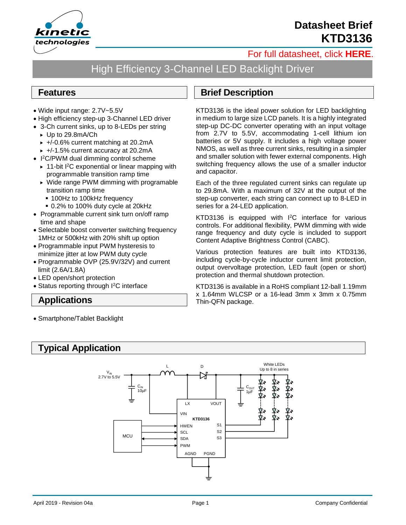

# **Datasheet Brief KTD3136**

### [For full datasheet, click](http://www.kinet-ic.com/site/datasheet#level-1) **HERE**.

# High Efficiency 3-Channel LED Backlight Driver

#### **Features**

- Wide input range: 2.7V~5.5V
- High efficiency step-up 3-Channel LED driver
- 3-Ch current sinks, up to 8-LEDs per string
	- Up to 29.8mA/Ch
	- $\rightarrow$  +/-0.6% current matching at 20.2mA
	- $\rightarrow$  +/-1.5% current accuracy at 20.2mA
- I <sup>2</sup>C/PWM dual dimming control scheme
	- ▶ 11-bit I<sup>2</sup>C exponential or linear mapping with programmable transition ramp time
	- ▶ Wide range PWM dimming with programable transition ramp time
		- 100Hz to 100kHz frequency
		- 0.2% to 100% duty cycle at 20kHz
- Programmable current sink turn on/off ramp time and shape
- Selectable boost converter switching frequency 1MHz or 500kHz with 20% shift up option
- Programmable input PWM hysteresis to minimize jitter at low PWM duty cycle
- Programmable OVP (25.9V/32V) and current limit (2.6A/1.8A)
- LED open/short protection
- Status reporting through I<sup>2</sup>C interface

#### **Applications**

• Smartphone/Tablet Backlight

#### **Brief Description**

KTD3136 is the ideal power solution for LED backlighting in medium to large size LCD panels. It is a highly integrated step-up DC-DC converter operating with an input voltage from 2.7V to 5.5V, accommodating 1-cell lithium ion batteries or 5V supply. It includes a high voltage power NMOS, as well as three current sinks, resulting in a simpler and smaller solution with fewer external components. High switching frequency allows the use of a smaller inductor and capacitor.

Each of the three regulated current sinks can regulate up to 29.8mA. With a maximum of 32V at the output of the step-up converter, each string can connect up to 8-LED in series for a 24-LED application.

KTD3136 is equipped with I<sup>2</sup>C interface for various controls. For additional flexibility, PWM dimming with wide range frequency and duty cycle is included to support Content Adaptive Brightness Control (CABC).

Various protection features are built into KTD3136, including cycle-by-cycle inductor current limit protection, output overvoltage protection, LED fault (open or short) protection and thermal shutdown protection.

KTD3136 is available in a RoHS compliant 12-ball 1.19mm x 1.64mm WLCSP or a 16-lead 3mm x 3mm x 0.75mm Thin-QFN package.

### **Typical Application**